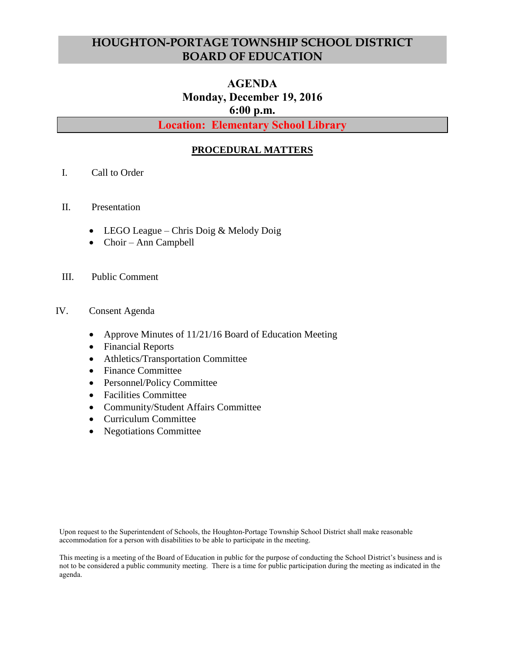# **HOUGHTON-PORTAGE TOWNSHIP SCHOOL DISTRICT BOARD OF EDUCATION**

# **AGENDA Monday, December 19, 2016 6:00 p.m.**

**Location: Elementary School Library**

### **PROCEDURAL MATTERS**

- I. Call to Order
- II. Presentation
	- LEGO League Chris Doig & Melody Doig
	- Choir Ann Campbell
- III. Public Comment
- IV. Consent Agenda
	- Approve Minutes of 11/21/16 Board of Education Meeting
	- Financial Reports
	- Athletics/Transportation Committee
	- Finance Committee
	- Personnel/Policy Committee
	- Facilities Committee
	- Community/Student Affairs Committee
	- Curriculum Committee
	- Negotiations Committee

Upon request to the Superintendent of Schools, the Houghton-Portage Township School District shall make reasonable accommodation for a person with disabilities to be able to participate in the meeting.

This meeting is a meeting of the Board of Education in public for the purpose of conducting the School District's business and is not to be considered a public community meeting. There is a time for public participation during the meeting as indicated in the agenda.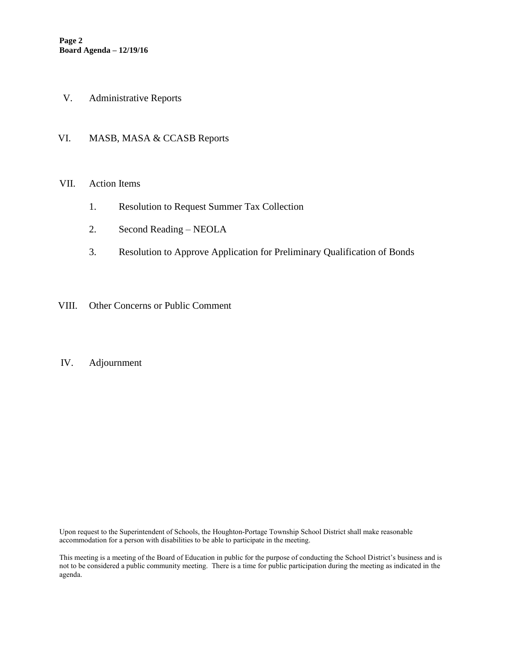- V. Administrative Reports
- VI. MASB, MASA & CCASB Reports

#### VII. Action Items

- 1. Resolution to Request Summer Tax Collection
- 2. Second Reading NEOLA
- 3. Resolution to Approve Application for Preliminary Qualification of Bonds
- VIII. Other Concerns or Public Comment

#### IV. Adjournment

Upon request to the Superintendent of Schools, the Houghton-Portage Township School District shall make reasonable accommodation for a person with disabilities to be able to participate in the meeting.

This meeting is a meeting of the Board of Education in public for the purpose of conducting the School District's business and is not to be considered a public community meeting. There is a time for public participation during the meeting as indicated in the agenda.